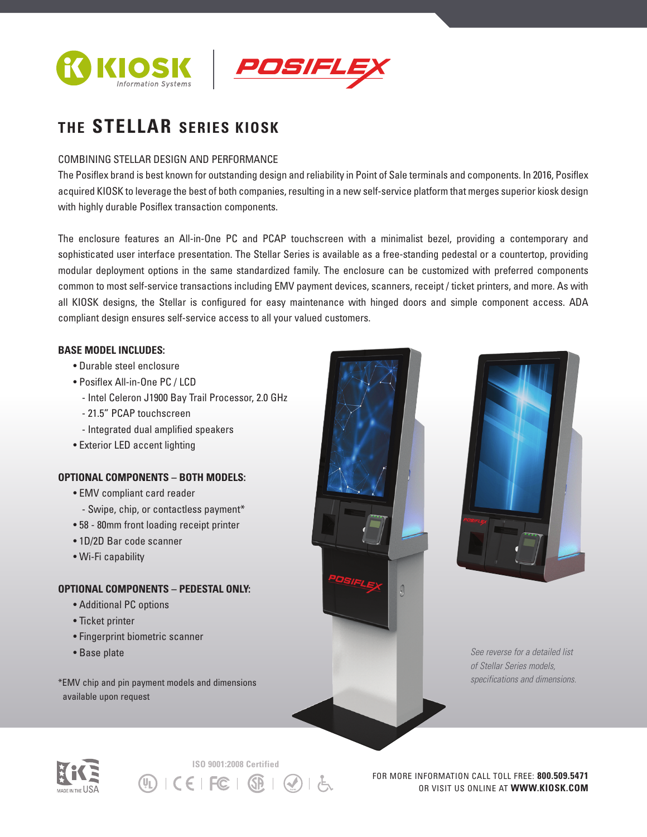



# **THE STELLAR SERIES KIOSK**

### COMBINING STELLAR DESIGN AND PERFORMANCE

The Posiflex brand is best known for outstanding design and reliability in Point of Sale terminals and components. In 2016, Posiflex acquired KIOSK to leverage the best of both companies, resulting in a new self-service platform that merges superior kiosk design with highly durable Posiflex transaction components.

The enclosure features an All-in-One PC and PCAP touchscreen with a minimalist bezel, providing a contemporary and sophisticated user interface presentation. The Stellar Series is available as a free-standing pedestal or a countertop, providing modular deployment options in the same standardized family. The enclosure can be customized with preferred components common to most self-service transactions including EMV payment devices, scanners, receipt / ticket printers, and more. As with all KIOSK designs, the Stellar is configured for easy maintenance with hinged doors and simple component access. ADA compliant design ensures self-service access to all your valued customers.

#### **BASE MODEL INCLUDES:**

- Durable steel enclosure
- Posiflex All-in-One PC / LCD
	- Intel Celeron J1900 Bay Trail Processor, 2.0 GHz
	- 21.5" PCAP touchscreen
	- Integrated dual amplified speakers
- Exterior LED accent lighting

## **OPTIONAL COMPONENTS – BOTH MODELS:**

- EMV compliant card reader
	- Swipe, chip, or contactless payment\*
- 58 80mm front loading receipt printer
- 1D/2D Bar code scanner
- Wi-Fi capability

## **OPTIONAL COMPONENTS – PEDESTAL ONLY:**

- Additional PC options
- Ticket printer
- Fingerprint biometric scanner
- Base plate

\*EMV chip and pin payment models and dimensions available upon request





*See reverse for a detailed list of Stellar Series models, specifications and dimensions.*



**ISO 9001:2008 Certified**  $CE$   $EC$   $\Omega$  $(\mathsf{U}_\mathsf{L})$ 

FOR MORE INFORMATION CALL TOLL FREE: **800.509.5471** OR VISIT US ONLINE AT **WWW.KIOSK.COM**